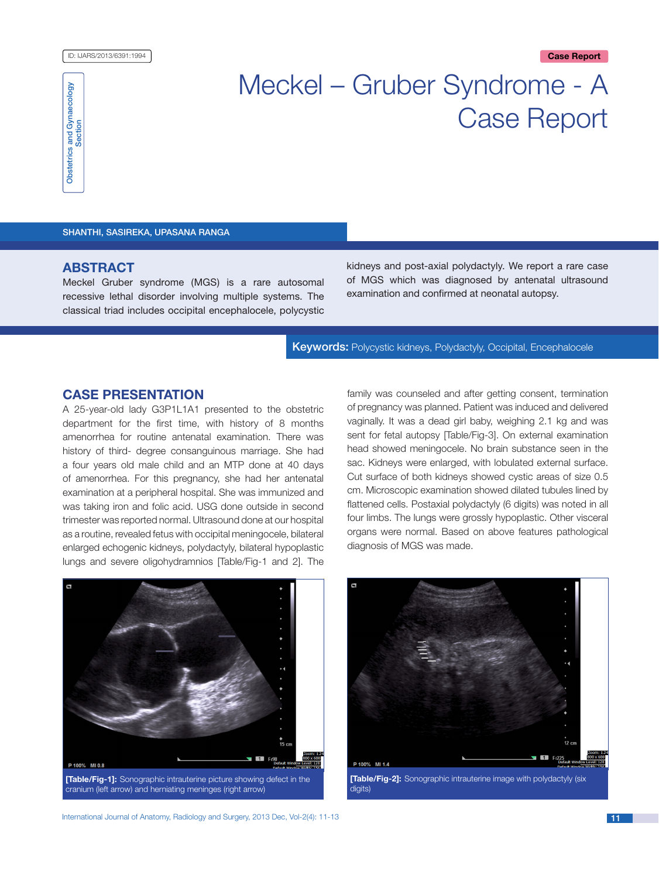#### ID: IJARS/2013/6391:1994 **Case Report**



# Meckel – Gruber Syndrome - A Case Report

Shanthi, Sasireka, Upasana Ranga

# **ABSTRACT**

Meckel Gruber syndrome (MGS) is a rare autosomal recessive lethal disorder involving multiple systems. The classical triad includes occipital encephalocele, polycystic kidneys and post-axial polydactyly. We report a rare case of MGS which was diagnosed by antenatal ultrasound examination and confirmed at neonatal autopsy.

Keywords: Polycystic kidneys, Polydactyly, Occipital, Encephalocele

# **Case Presentation**

A 25-year-old lady G3P1L1A1 presented to the obstetric department for the first time, with history of 8 months amenorrhea for routine antenatal examination. There was history of third- degree consanguinous marriage. She had a four years old male child and an MTP done at 40 days of amenorrhea. For this pregnancy, she had her antenatal examination at a peripheral hospital. She was immunized and was taking iron and folic acid. USG done outside in second trimester was reported normal. Ultrasound done at our hospital as a routine, revealed fetus with occipital meningocele, bilateral enlarged echogenic kidneys, polydactyly, bilateral hypoplastic lungs and severe oligohydramnios [Table/Fig-1 and 2]. The family was counseled and after getting consent, termination of pregnancy was planned. Patient was induced and delivered vaginally. It was a dead girl baby, weighing 2.1 kg and was sent for fetal autopsy [Table/Fig-3]. On external examination head showed meningocele. No brain substance seen in the sac. Kidneys were enlarged, with lobulated external surface. Cut surface of both kidneys showed cystic areas of size 0.5 cm. Microscopic examination showed dilated tubules lined by flattened cells. Postaxial polydactyly (6 digits) was noted in all four limbs. The lungs were grossly hypoplastic. Other visceral organs were normal. Based on above features pathological diagnosis of MGS was made.





**[Table/Fig-2]:** Sonographic intrauterine image with polydactyly (six digits)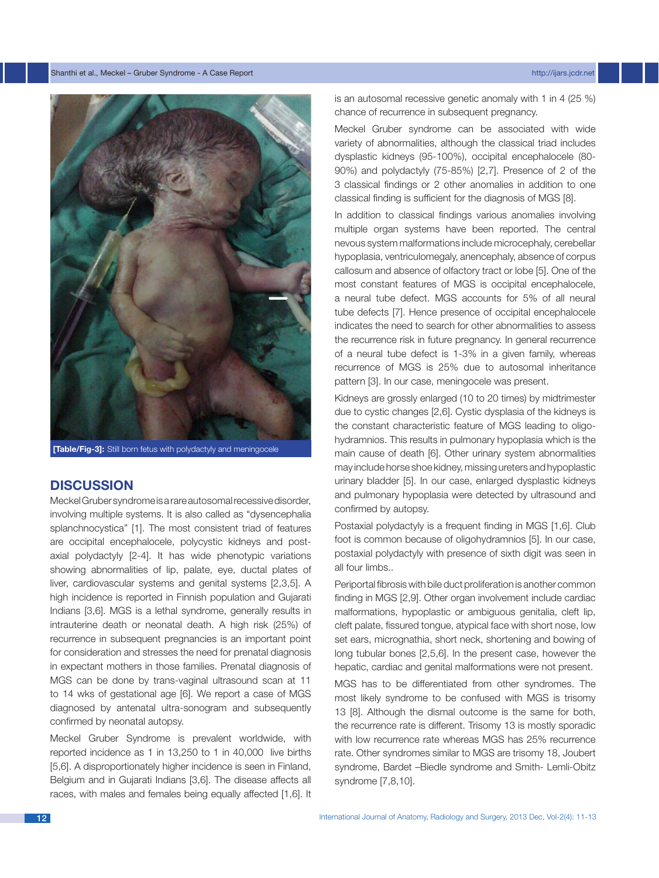

**[Table/Fig-3]:** Still born fetus with polydactyly and meningocele

# **Discussion**

Meckel Gruber syndrome is a rare autosomal recessive disorder, involving multiple systems. It is also called as "dysencephalia splanchnocystica" [1]. The most consistent triad of features are occipital encephalocele, polycystic kidneys and postaxial polydactyly [2-4]. It has wide phenotypic variations showing abnormalities of lip, palate, eye, ductal plates of liver, cardiovascular systems and genital systems [2,3,5]. A high incidence is reported in Finnish population and Gujarati Indians [3,6]. MGS is a lethal syndrome, generally results in intrauterine death or neonatal death. A high risk (25%) of recurrence in subsequent pregnancies is an important point for consideration and stresses the need for prenatal diagnosis in expectant mothers in those families. Prenatal diagnosis of MGS can be done by trans-vaginal ultrasound scan at 11 to 14 wks of gestational age [6]. We report a case of MGS diagnosed by antenatal ultra-sonogram and subsequently confirmed by neonatal autopsy.

Meckel Gruber Syndrome is prevalent worldwide, with reported incidence as 1 in 13,250 to 1 in 40,000 live births [5,6]. A disproportionately higher incidence is seen in Finland, Belgium and in Gujarati Indians [3,6]. The disease affects all races, with males and females being equally affected [1,6]. It is an autosomal recessive genetic anomaly with 1 in 4 (25 %) chance of recurrence in subsequent pregnancy.

Meckel Gruber syndrome can be associated with wide variety of abnormalities, although the classical triad includes dysplastic kidneys (95-100%), occipital encephalocele (80- 90%) and polydactyly (75-85%) [2,7]. Presence of 2 of the 3 classical findings or 2 other anomalies in addition to one classical finding is sufficient for the diagnosis of MGS [8].

In addition to classical findings various anomalies involving multiple organ systems have been reported. The central nevous system malformations include microcephaly, cerebellar hypoplasia, ventriculomegaly, anencephaly, absence of corpus callosum and absence of olfactory tract or lobe [5]. One of the most constant features of MGS is occipital encephalocele, a neural tube defect. MGS accounts for 5% of all neural tube defects [7]. Hence presence of occipital encephalocele indicates the need to search for other abnormalities to assess the recurrence risk in future pregnancy. In general recurrence of a neural tube defect is 1-3% in a given family, whereas recurrence of MGS is 25% due to autosomal inheritance pattern [3]. In our case, meningocele was present.

Kidneys are grossly enlarged (10 to 20 times) by midtrimester due to cystic changes [2,6]. Cystic dysplasia of the kidneys is the constant characteristic feature of MGS leading to oligohydramnios. This results in pulmonary hypoplasia which is the main cause of death [6]. Other urinary system abnormalities may include horse shoe kidney, missing ureters and hypoplastic urinary bladder [5]. In our case, enlarged dysplastic kidneys and pulmonary hypoplasia were detected by ultrasound and confirmed by autopsy.

Postaxial polydactyly is a frequent finding in MGS [1,6]. Club foot is common because of oligohydramnios [5]. In our case, postaxial polydactyly with presence of sixth digit was seen in all four limbs..

Periportal fibrosis with bile duct proliferation is another common finding in MGS [2,9]. Other organ involvement include cardiac malformations, hypoplastic or ambiguous genitalia, cleft lip, cleft palate, fissured tongue, atypical face with short nose, low set ears, micrognathia, short neck, shortening and bowing of long tubular bones [2,5,6]. In the present case, however the hepatic, cardiac and genital malformations were not present.

MGS has to be differentiated from other syndromes. The most likely syndrome to be confused with MGS is trisomy 13 [8]. Although the dismal outcome is the same for both, the recurrence rate is different. Trisomy 13 is mostly sporadic with low recurrence rate whereas MGS has 25% recurrence rate. Other syndromes similar to MGS are trisomy 18, Joubert syndrome, Bardet –Biedle syndrome and Smith- Lemli-Obitz syndrome [7,8,10].